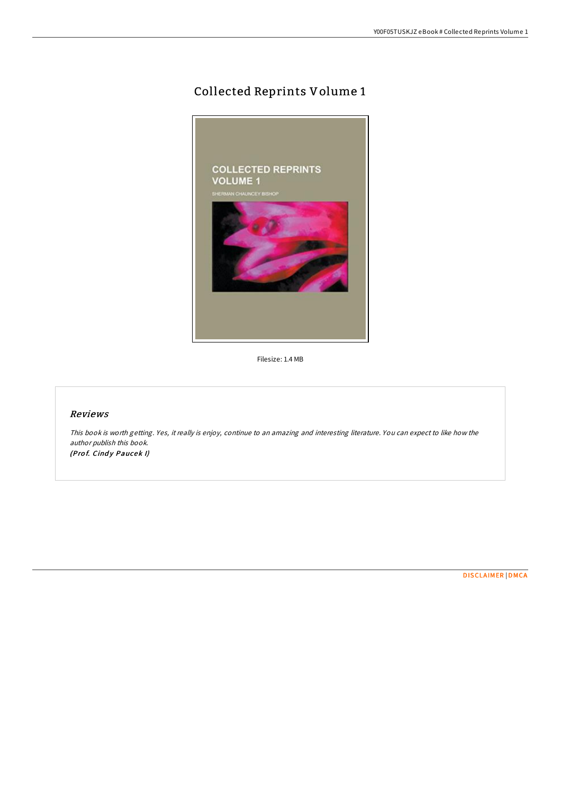# Collected Reprints Volume 1



Filesize: 1.4 MB

### Reviews

This book is worth getting. Yes, it really is enjoy, continue to an amazing and interesting literature. You can expect to like how the author publish this book. (Prof. Cindy Paucek I)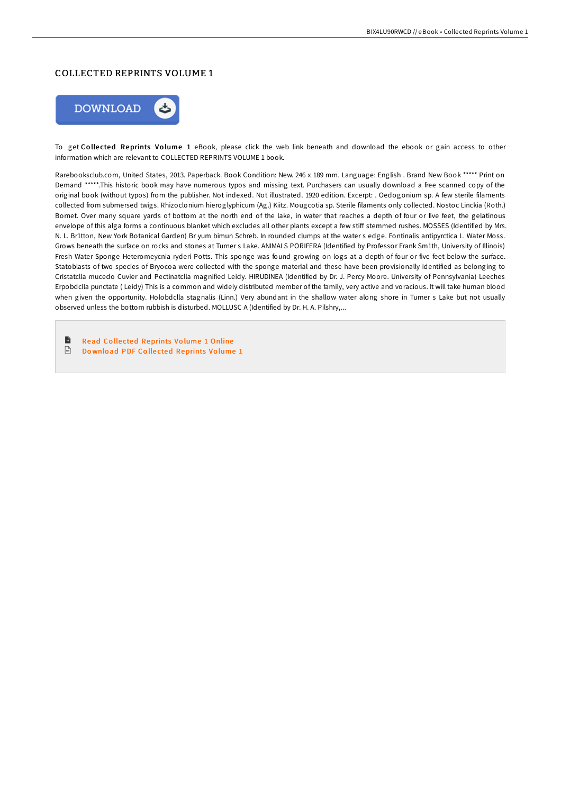#### COLLECTED REPRINTS VOLUME 1



To get Collected Reprints Volume 1 eBook, please click the web link beneath and download the ebook or gain access to other information which are relevant to COLLECTED REPRINTS VOLUME 1 book.

Rarebooksclub.com, United States, 2013. Paperback. Book Condition: New. 246 x 189 mm. Language: English . Brand New Book \*\*\*\*\* Print on Demand \*\*\*\*\*.This historic book may have numerous typos and missing text. Purchasers can usually download a free scanned copy of the original book (without typos) from the publisher. Not indexed. Not illustrated. 1920 edition. Excerpt: . Oedogonium sp. A few sterile filaments collected from submersed twigs. Rhizoclonium hieroglyphicum (Ag.) Kiitz. Mougcotia sp. Sterile filaments only collected. Nostoc Linckia (Roth.) Bornet. Over many square yards of bottom at the north end of the lake, in water that reaches a depth of four or five feet, the gelatinous envelope of this alga forms a continuous blanket which excludes all other plants except a few stiff stemmed rushes. MOSSES (Identified by Mrs. N. L. Br1tton, New York Botanical Garden) Br yum bimun Schreb. In rounded clumps at the water s edge. Fontinalis antipyrctica L. Water Moss. Grows beneath the surface on rocks and stones at Turner s Lake. ANIMALS PORIFERA (Identified by Professor Frank Sm1th, University of Illinois) Fresh Water Sponge Heteromeycnia ryderi Potts. This sponge was found growing on logs at a depth of four or five feet below the surface. Statoblasts of two species of Bryocoa were collected with the sponge material and these have been provisionally identified as belonging to Cristatclla mucedo Cuvier and Pectinatclla magnified Leidy. HIRUDINEA (Identified by Dr. J. Percy Moore. University of Pennsylvania) Leeches Erpobdclla punctate ( Leidy) This is a common and widely distributed member of the family, very active and voracious. It will take human blood when given the opportunity. Holobdclla stagnalis (Linn.) Very abundant in the shallow water along shore in Turner s Lake but not usually observed unless the bottom rubbish is disturbed. MOLLUSC A (Identified by Dr. H. A. Pilshry,...

 $\blacksquare$ Read Co lle cted [Reprints](http://almighty24.tech/collected-reprints-volume-1-paperback.html) Vo lume 1 Online  $\sqrt{\frac{1}{n}}$ Do wnlo ad PDF Co lle cted [Reprints](http://almighty24.tech/collected-reprints-volume-1-paperback.html) Vo lume 1